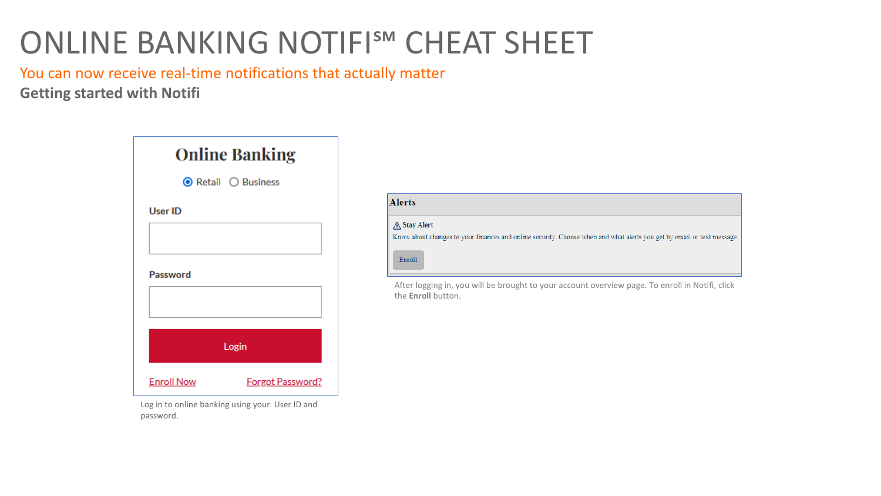You can now receive real-time notifications that actually matter **Getting started with Notifi**



Log in to online banking using your User ID and password.

| <b>Alerts</b> |                                                                                                                        |
|---------------|------------------------------------------------------------------------------------------------------------------------|
| A Stay Alert  | Know about changes to your finances and online security. Choose when and what alerts you get by email or text message. |
| Enroll        |                                                                                                                        |

After logging in, you will be brought to your account overview page. To enroll in Notifi, click the **Enroll** button.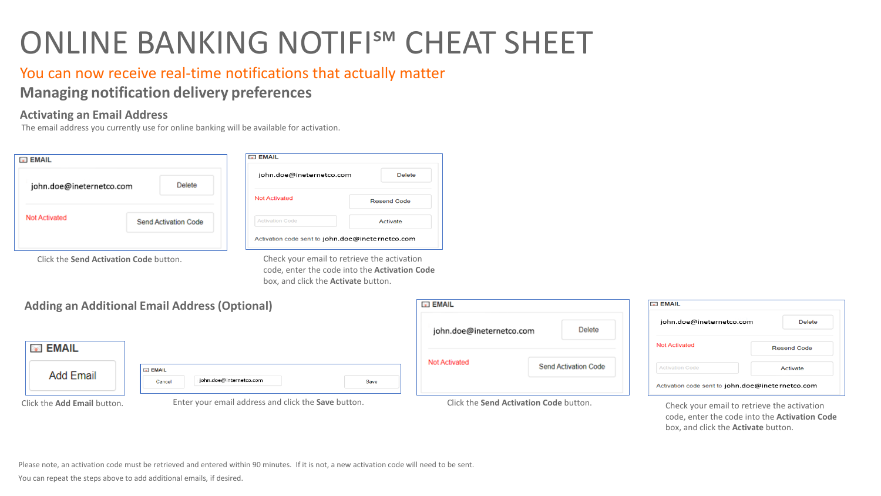### You can now receive real-time notifications that actually matter **Managing notification delivery preferences**

#### **Activating an Email Address**

The email address you currently use for online banking will be available for activation.

| <b>EMAIL</b>                                  |                      | <b>EMAIL</b>                                     |                    |
|-----------------------------------------------|----------------------|--------------------------------------------------|--------------------|
| john.doe@ineternetco.com                      | Delete               | john.doe@ineternetco.com                         | <b>Delete</b>      |
|                                               |                      | <b>Not Activated</b>                             | <b>Resend Code</b> |
| <b>Not Activated</b>                          | Send Activation Code | <b>Activation Code</b>                           | Activate           |
|                                               |                      | Activation code sent to john.doe@ineternetco.com |                    |
| Click the <b>Send Activation Code</b> button. |                      | Check your email to retrieve the activation      |                    |

code, enter the code into the **Activation Code** box, and click the **Activate** button.

|                                    | <b>Adding an Additional Email Address (Optional)</b> | <b>EMAIL</b>                                 | <b>ED EMAIL</b>                                  |
|------------------------------------|------------------------------------------------------|----------------------------------------------|--------------------------------------------------|
|                                    |                                                      | Delete<br>john.doe@ineternetco.com           | john.doe@ineternetco.com<br><b>Delete</b>        |
| <b>S</b> EMAIL                     |                                                      |                                              | <b>Not Activated</b><br><b>Resend Code</b>       |
|                                    | <b>E</b> EMAIL                                       | <b>Not Activated</b><br>Send Activation Code | Activation Code<br>Activate                      |
| <b>Add Email</b>                   | john.doe@internetco.com<br>Cancel<br>Save            |                                              | Activation code sent to john.doe@ineternetco.com |
| Click the <b>Add Email</b> button. | Enter your email address and click the Save button.  | Click the Send Activation Code button.       | Check your email to retrieve the activation      |

code, enter the code into the **Activation Code** box, and click the **Activate** button.

Please note, an activation code must be retrieved and entered within 90 minutes. If it is not, a new activation code will need to be sent.

You can repeat the steps above to add additional emails, if desired.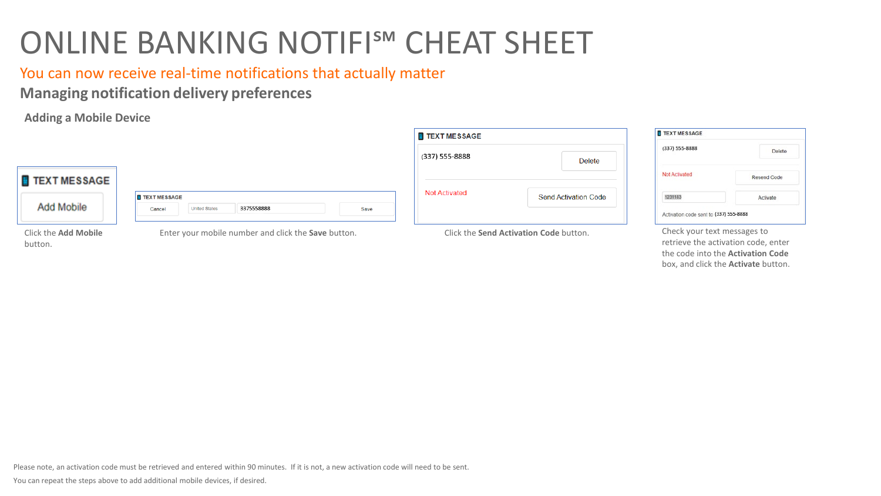You can now receive real-time notifications that actually matter

**Managing notification delivery preferences**

**Adding a Mobile Device**



Click the **Add Mobile** button.

Check your text messages to retrieve the activation code, enter the code into the **Activation Code** box, and click the **Activate** button.

Please note, an activation code must be retrieved and entered within 90 minutes. If it is not, a new activation code will need to be sent.

You can repeat the steps above to add additional mobile devices, if desired.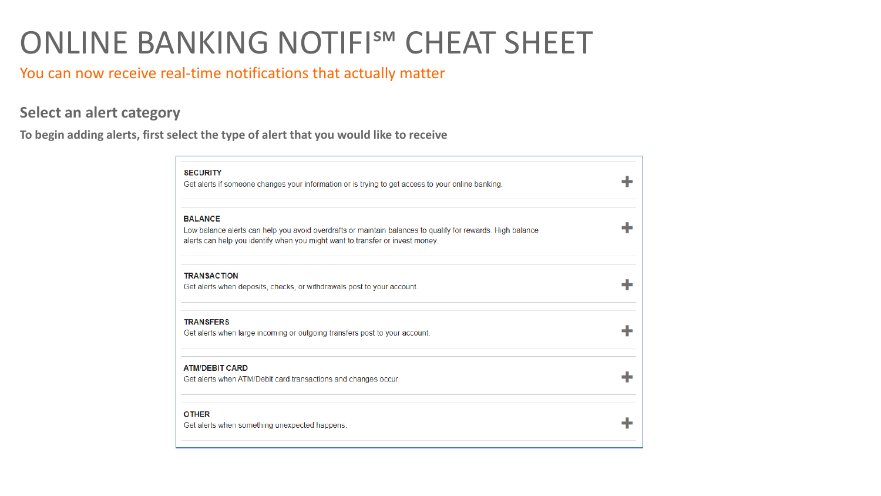### You can now receive real-time notifications that actually matter

#### **Select an alert category**

**To begin adding alerts, first select the type of alert that you would like to receive**

| <b>SECURITY</b><br>Get alerts if someone changes your information or is trying to get access to your online banking.                                                                                          |  |
|---------------------------------------------------------------------------------------------------------------------------------------------------------------------------------------------------------------|--|
| <b>BALANCE</b><br>Low balance alerts can help you avoid overdrafts or maintain balances to qualify for rewards. High balance<br>alerts can help you identify when you might want to transfer or invest money. |  |
| <b>TRANSACTION</b><br>Get alerts when deposits, checks, or withdrawals post to your account.                                                                                                                  |  |
| <b>TRANSFERS</b><br>Get alerts when large incoming or outgoing transfers post to your account.                                                                                                                |  |
| <b>ATM/DEBIT CARD</b><br>Get alerts when ATM/Debit card transactions and changes occur.                                                                                                                       |  |
| <b>OTHER</b><br>Get alerts when something unexpected happens.                                                                                                                                                 |  |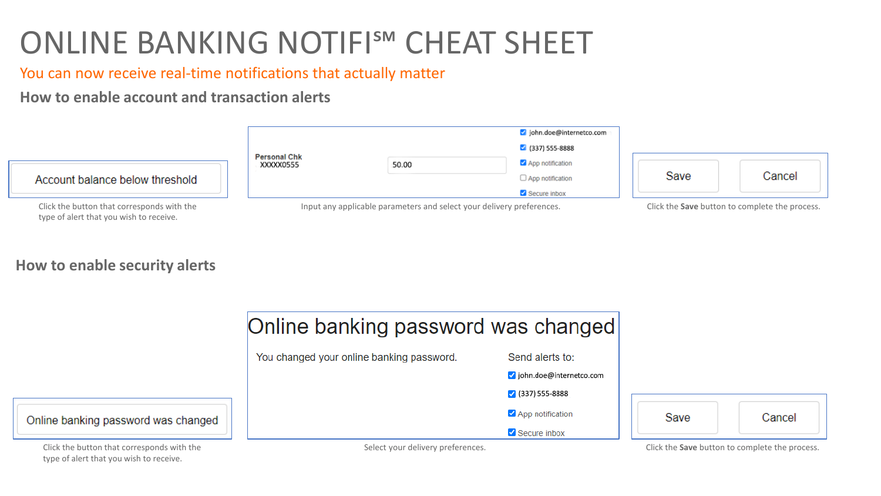You can now receive real-time notifications that actually matter

**How to enable account and transaction alerts**



**How to enable security alerts**

type of alert that you wish to receive.

|                                            | Online banking password was changed       |                          |      |                                                       |
|--------------------------------------------|-------------------------------------------|--------------------------|------|-------------------------------------------------------|
|                                            | You changed your online banking password. | Send alerts to:          |      |                                                       |
|                                            |                                           | ohn.doe@internetco.com   |      |                                                       |
|                                            |                                           | $\bigvee$ (337) 555-8888 |      |                                                       |
| Online banking password was changed        |                                           | App notification         | Save | Cancel                                                |
|                                            |                                           | Secure inbox             |      |                                                       |
| Click the button that corresponds with the | Select your delivery preferences.         |                          |      | Click the <b>Save</b> button to complete the process. |

type of alert that you wish to receive.